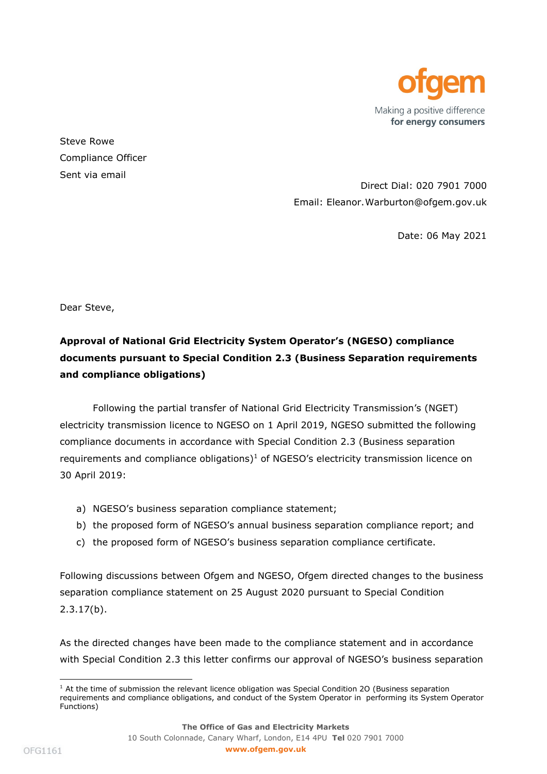

Steve Rowe Compliance Officer Sent via email

Direct Dial: 020 7901 7000 Email: Eleanor.Warburton@ofgem.gov.uk

Date: 06 May 2021

Dear Steve,

## Approval of National Grid Electricity System Operator's (NGESO) compliance documents pursuant to Special Condition 2.3 (Business Separation requirements and compliance obligations)

Following the partial transfer of National Grid Electricity Transmission's (NGET) electricity transmission licence to NGESO on 1 April 2019, NGESO submitted the following compliance documents in accordance with Special Condition 2.3 (Business separation requirements and compliance obligations) $1$  of NGESO's electricity transmission licence on 30 April 2019:

- a) NGESO's business separation compliance statement;
- b) the proposed form of NGESO's annual business separation compliance report; and
- c) the proposed form of NGESO's business separation compliance certificate.

Following discussions between Ofgem and NGESO, Ofgem directed changes to the business separation compliance statement on 25 August 2020 pursuant to Special Condition 2.3.17(b).

As the directed changes have been made to the compliance statement and in accordance with Special Condition 2.3 this letter confirms our approval of NGESO's business separation

<sup>&</sup>lt;sup>1</sup> At the time of submission the relevant licence obligation was Special Condition 20 (Business separation requirements and compliance obligations, and conduct of the System Operator in performing its System Operator Functions)